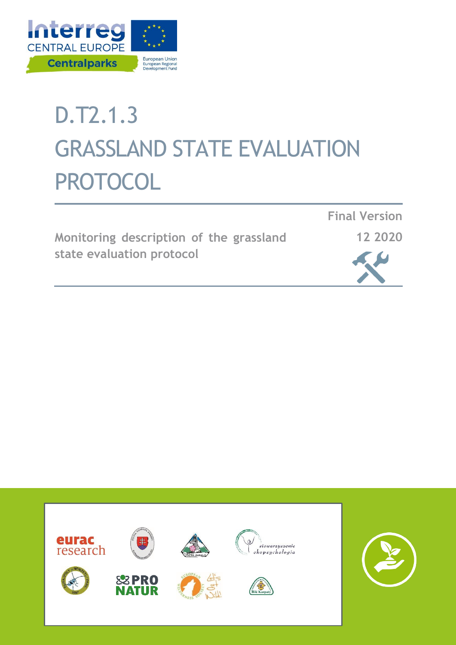

# D.T2.1.3 GRASSLAND STATE EVALUATION PROTOCOL

|                           | Monitoring description of the grassland |  |  |  |
|---------------------------|-----------------------------------------|--|--|--|
| state evaluation protocol |                                         |  |  |  |





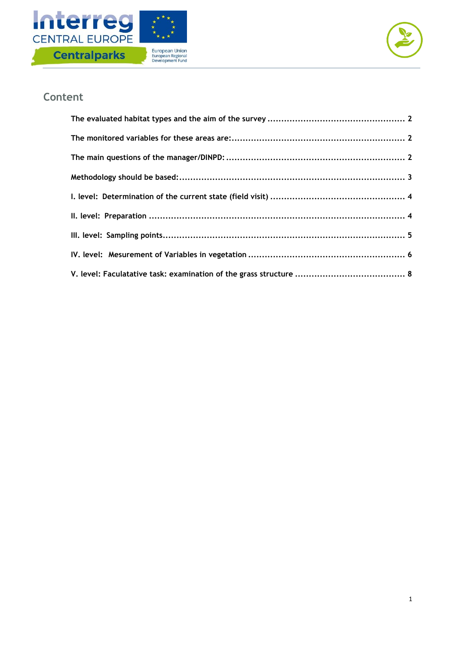



#### **Content**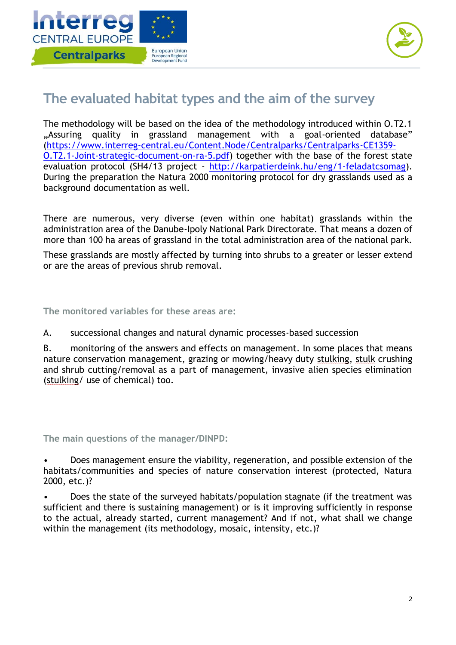



#### <span id="page-2-0"></span>**The evaluated habitat types and the aim of the survey**

The methodology will be based on the idea of the methodology introduced within O.T2.1 "Assuring quality in grassland management with a goal-oriented database" [\(https://www.interreg-central.eu/Content.Node/Centralparks/Centralparks-CE1359-](https://www.interreg-central.eu/Content.Node/Centralparks/Centralparks-CE1359-O.T2.1-Joint-strategic-document-on-ra-5.pdf) [O.T2.1-Joint-strategic-document-on-ra-5.pdf\)](https://www.interreg-central.eu/Content.Node/Centralparks/Centralparks-CE1359-O.T2.1-Joint-strategic-document-on-ra-5.pdf) together with the base of the forest state evaluation protocol (SH4/13 project - [http://karpatierdeink.hu/eng/1-feladatcsomag\)](http://karpatierdeink.hu/eng/1-feladatcsomag). During the preparation the Natura 2000 monitoring protocol for dry grasslands used as a background documentation as well.

There are numerous, very diverse (even within one habitat) grasslands within the administration area of the Danube-Ipoly National Park Directorate. That means a dozen of more than 100 ha areas of grassland in the total administration area of the national park.

These grasslands are mostly affected by turning into shrubs to a greater or lesser extend or are the areas of previous shrub removal.

<span id="page-2-1"></span>**The monitored variables for these areas are:**

A. successional changes and natural dynamic processes-based succession

B. monitoring of the answers and effects on management. In some places that means nature conservation management, grazing or mowing/heavy duty stulking, stulk crushing and shrub cutting/removal as a part of management, invasive alien species elimination (stulking/ use of chemical) too.

<span id="page-2-2"></span>**The main questions of the manager/DINPD:** 

• Does management ensure the viability, regeneration, and possible extension of the habitats/communities and species of nature conservation interest (protected, Natura 2000, etc.)?

• Does the state of the surveyed habitats/population stagnate (if the treatment was sufficient and there is sustaining management) or is it improving sufficiently in response to the actual, already started, current management? And if not, what shall we change within the management (its methodology, mosaic, intensity, etc.)?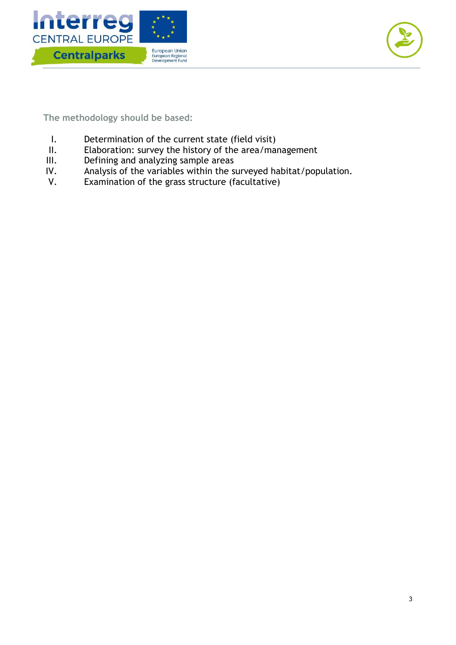



<span id="page-3-0"></span>**The methodology should be based:** 

- I. Determination of the current state (field visit)
- II. Elaboration: survey the history of the area/management
- III. Defining and analyzing sample areas
- IV. Analysis of the variables within the surveyed habitat/population.
- V. Examination of the grass structure (facultative)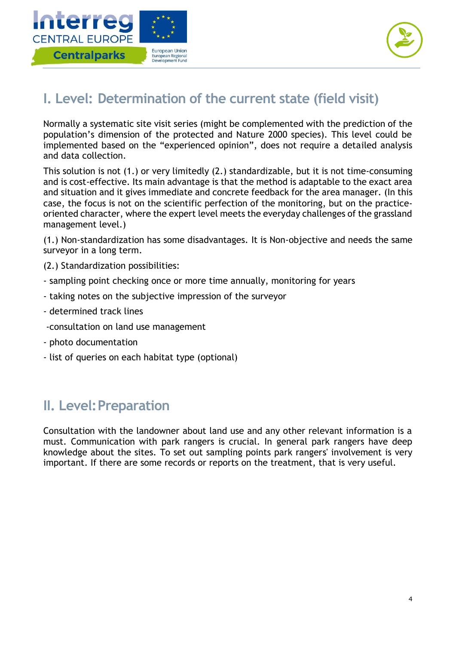



### <span id="page-4-0"></span>**I. Level: Determination of the current state (field visit)**

Normally a systematic site visit series (might be complemented with the prediction of the population's dimension of the protected and Nature 2000 species). This level could be implemented based on the "experienced opinion", does not require a detailed analysis and data collection.

This solution is not (1.) or very limitedly (2.) standardizable, but it is not time-consuming and is cost-effective. Its main advantage is that the method is adaptable to the exact area and situation and it gives immediate and concrete feedback for the area manager. (In this case, the focus is not on the scientific perfection of the monitoring, but on the practiceoriented character, where the expert level meets the everyday challenges of the grassland management level.)

(1.) Non-standardization has some disadvantages. It is Non-objective and needs the same surveyor in a long term.

(2.) Standardization possibilities:

- sampling point checking once or more time annually, monitoring for years
- taking notes on the subjective impression of the surveyor
- determined track lines
- -consultation on land use management
- photo documentation
- list of queries on each habitat type (optional)

#### <span id="page-4-1"></span>**II. Level:Preparation**

Consultation with the landowner about land use and any other relevant information is a must. Communication with park rangers is crucial. In general park rangers have deep knowledge about the sites. To set out sampling points park rangers' involvement is very important. If there are some records or reports on the treatment, that is very useful.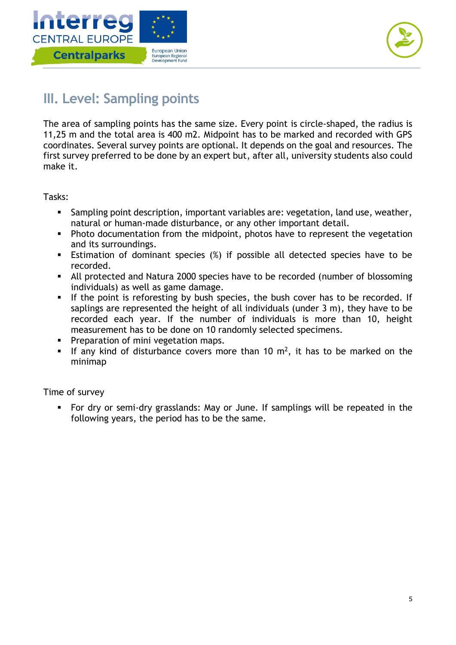



## <span id="page-5-0"></span>**III. Level: Sampling points**

The area of sampling points has the same size. Every point is circle-shaped, the radius is 11,25 m and the total area is 400 m2. Midpoint has to be marked and recorded with GPS coordinates. Several survey points are optional. It depends on the goal and resources. The first survey preferred to be done by an expert but, after all, university students also could make it.

Tasks:

- Sampling point description, important variables are: vegetation, land use, weather, natural or human-made disturbance, or any other important detail.
- Photo documentation from the midpoint, photos have to represent the vegetation and its surroundings.
- Estimation of dominant species (%) if possible all detected species have to be recorded.
- All protected and Natura 2000 species have to be recorded (number of blossoming individuals) as well as game damage.
- If the point is reforesting by bush species, the bush cover has to be recorded. If saplings are represented the height of all individuals (under 3 m), they have to be recorded each year. If the number of individuals is more than 10, height measurement has to be done on 10 randomly selected specimens.
- **Preparation of mini vegetation maps.**
- If any kind of disturbance covers more than 10  $m^2$ , it has to be marked on the minimap

Time of survey

 For dry or semi-dry grasslands: May or June. If samplings will be repeated in the following years, the period has to be the same.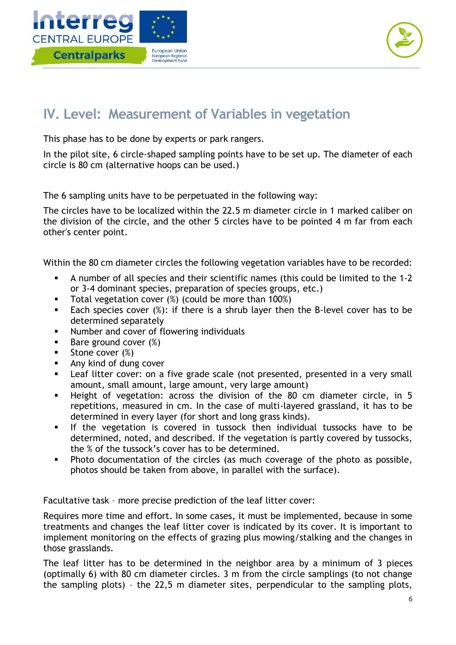



## <span id="page-6-0"></span>**IV. Level: Measurement of Variables in vegetation**

This phase has to be done by experts or park rangers.

In the pilot site, 6 circle-shaped sampling points have to be set up. The diameter of each circle is 80 cm (alternative hoops can be used.)

The 6 sampling units have to be perpetuated in the following way:

The circles have to be localized within the 22.5 m diameter circle in 1 marked caliber on the division of the circle, and the other 5 circles have to be pointed 4 m far from each other's center point.

Within the 80 cm diameter circles the following vegetation variables have to be recorded:

- A number of all species and their scientific names (this could be limited to the 1-2 or 3-4 dominant species, preparation of species groups, etc.)
- **Total vegetation cover (%) (could be more than 100%)**
- Each species cover  $(\%)$ : if there is a shrub layer then the B-level cover has to be determined separately
- **Number and cover of flowering individuals**
- $\blacksquare$  Bare ground cover  $(\%)$
- Stone cover (%)
- **Any kind of dung cover**
- **EXT** Leaf litter cover: on a five grade scale (not presented, presented in a very small amount, small amount, large amount, very large amount)
- Height of vegetation: across the division of the 80 cm diameter circle, in 5 repetitions, measured in cm. In the case of multi-layered grassland, it has to be determined in every layer (for short and long grass kinds).
- If the vegetation is covered in tussock then individual tussocks have to be determined, noted, and described. If the vegetation is partly covered by tussocks, the % of the tussock's cover has to be determined.
- Photo documentation of the circles (as much coverage of the photo as possible, photos should be taken from above, in parallel with the surface).

Facultative task – more precise prediction of the leaf litter cover:

Requires more time and effort. In some cases, it must be implemented, because in some treatments and changes the leaf litter cover is indicated by its cover. It is important to implement monitoring on the effects of grazing plus mowing/stalking and the changes in those grasslands.

The leaf litter has to be determined in the neighbor area by a minimum of 3 pieces (optimally 6) with 80 cm diameter circles. 3 m from the circle samplings (to not change the sampling plots) – the 22,5 m diameter sites, perpendicular to the sampling plots,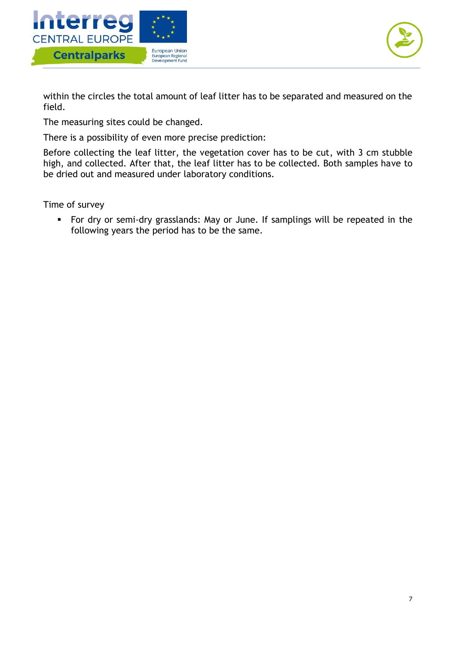



within the circles the total amount of leaf litter has to be separated and measured on the field.

The measuring sites could be changed.

There is a possibility of even more precise prediction:

Before collecting the leaf litter, the vegetation cover has to be cut, with 3 cm stubble high, and collected. After that, the leaf litter has to be collected. Both samples have to be dried out and measured under laboratory conditions.

Time of survey

 For dry or semi-dry grasslands: May or June. If samplings will be repeated in the following years the period has to be the same.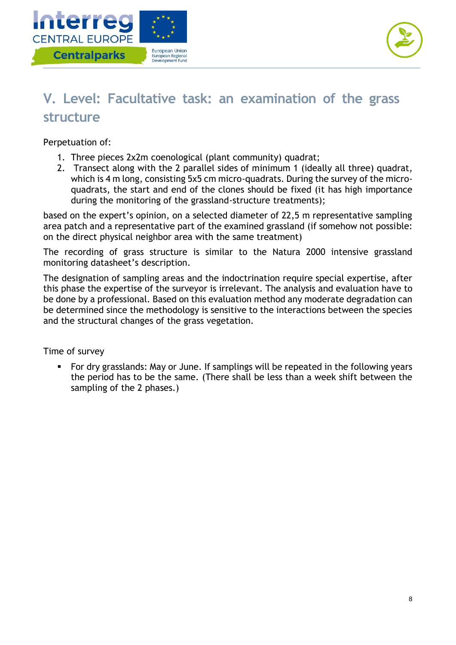



## <span id="page-8-0"></span>**V. Level: Facultative task: an examination of the grass structure**

Perpetuation of:

- 1. Three pieces 2x2m coenological (plant community) quadrat;
- 2. Transect along with the 2 parallel sides of minimum 1 (ideally all three) quadrat, which is 4 m long, consisting 5x5 cm micro-quadrats. During the survey of the microquadrats, the start and end of the clones should be fixed (it has high importance during the monitoring of the grassland-structure treatments);

based on the expert's opinion, on a selected diameter of 22,5 m representative sampling area patch and a representative part of the examined grassland (if somehow not possible: on the direct physical neighbor area with the same treatment)

The recording of grass structure is similar to the Natura 2000 intensive grassland monitoring datasheet's description.

The designation of sampling areas and the indoctrination require special expertise, after this phase the expertise of the surveyor is irrelevant. The analysis and evaluation have to be done by a professional. Based on this evaluation method any moderate degradation can be determined since the methodology is sensitive to the interactions between the species and the structural changes of the grass vegetation.

Time of survey

 For dry grasslands: May or June. If samplings will be repeated in the following years the period has to be the same. (There shall be less than a week shift between the sampling of the 2 phases.)